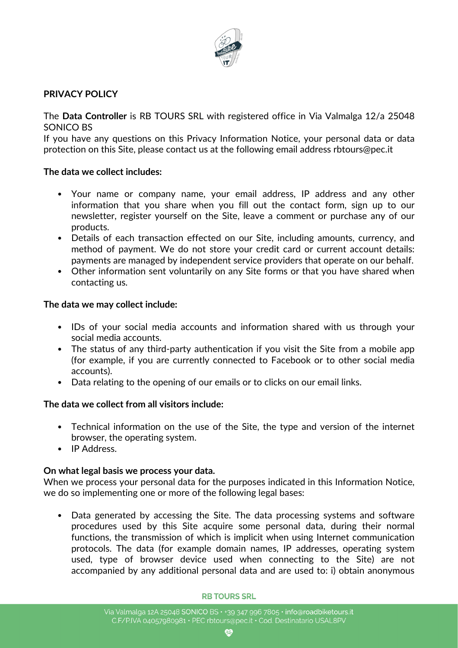

# **PRIVACY POLICY**

The **Data Controller** is RB TOURS SRL with registered office in Via Valmalga 12/a 25048 SONICO BS

If you have any questions on this Privacy Information Notice, your personal data or data protection on this Site, please contact us at the following email address rbtours@pec.it

## **The data we collect includes:**

- Your name or company name, your email address, IP address and any other information that you share when you fill out the contact form, sign up to our newsletter, register yourself on the Site, leave a comment or purchase any of our products.
- Details of each transaction effected on our Site, including amounts, currency, and method of payment. We do not store your credit card or current account details: payments are managed by independent service providers that operate on our behalf.
- Other information sent voluntarily on any Site forms or that you have shared when contacting us.

## **The data we may collect include:**

- IDs of your social media accounts and information shared with us through your social media accounts.
- The status of any third-party authentication if you visit the Site from a mobile app (for example, if you are currently connected to Facebook or to other social media accounts).
- Data relating to the opening of our emails or to clicks on our email links.

# **The data we collect from all visitors include:**

- Technical information on the use of the Site, the type and version of the internet browser, the operating system.
- IP Address.

# **On what legal basis we process your data.**

When we process your personal data for the purposes indicated in this Information Notice, we do so implementing one or more of the following legal bases:

• Data generated by accessing the Site. The data processing systems and software procedures used by this Site acquire some personal data, during their normal functions, the transmission of which is implicit when using Internet communication protocols. The data (for example domain names, IP addresses, operating system used, type of browser device used when connecting to the Site) are not accompanied by any additional personal data and are used to: i) obtain anonymous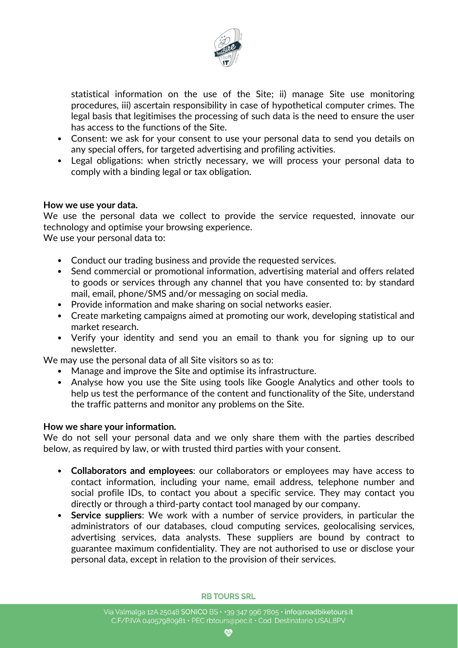

statistical information on the use of the Site; ii) manage Site use monitoring procedures, iii) ascertain responsibility in case of hypothetical computer crimes. The legal basis that legitimises the processing of such data is the need to ensure the user has access to the functions of the Site.

- Consent: we ask for your consent to use your personal data to send you details on any special offers, for targeted advertising and profiling activities.
- Legal obligations: when strictly necessary, we will process your personal data to comply with a binding legal or tax obligation.

## **How we use your data.**

We use the personal data we collect to provide the service requested, innovate our technology and optimise your browsing experience.

We use your personal data to:

- Conduct our trading business and provide the requested services.
- Send commercial or promotional information, advertising material and offers related to goods or services through any channel that you have consented to: by standard mail, email, phone/SMS and/or messaging on social media.
- Provide information and make sharing on social networks easier.
- Create marketing campaigns aimed at promoting our work, developing statistical and market research.
- Verify your identity and send you an email to thank you for signing up to our newsletter.

We may use the personal data of all Site visitors so as to:

- Manage and improve the Site and optimise its infrastructure.
- Analyse how you use the Site using tools like Google Analytics and other tools to help us test the performance of the content and functionality of the Site, understand the traffic patterns and monitor any problems on the Site.

## **How we share your information.**

We do not sell your personal data and we only share them with the parties described below, as required by law, or with trusted third parties with your consent.

- **Collaborators and employees**: our collaborators or employees may have access to contact information, including your name, email address, telephone number and social profile IDs, to contact you about a specific service. They may contact you directly or through a third-party contact tool managed by our company.
- **Service suppliers**: We work with a number of service providers, in particular the administrators of our databases, cloud computing services, geolocalising services, advertising services, data analysts. These suppliers are bound by contract to guarantee maximum confidentiality. They are not authorised to use or disclose your personal data, except in relation to the provision of their services.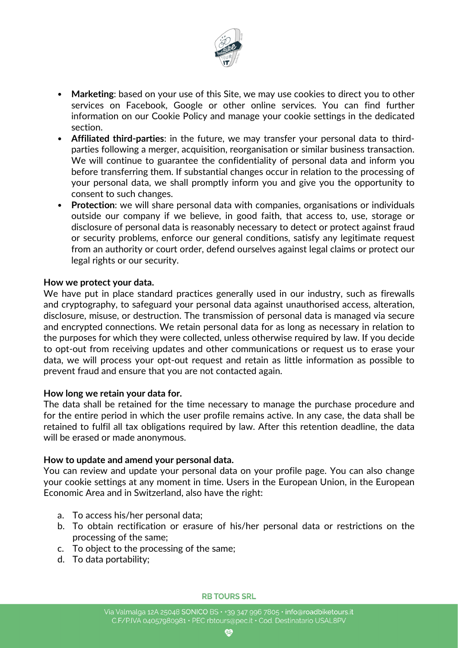

- **Marketing**: based on your use of this Site, we may use cookies to direct you to other services on Facebook, Google or other online services. You can find further information on our Cookie Policy and manage your cookie settings in the dedicated section.
- **Affiliated third-parties**: in the future, we may transfer your personal data to thirdparties following a merger, acquisition, reorganisation or similar business transaction. We will continue to guarantee the confidentiality of personal data and inform you before transferring them. If substantial changes occur in relation to the processing of your personal data, we shall promptly inform you and give you the opportunity to consent to such changes.
- **Protection:** we will share personal data with companies, organisations or individuals outside our company if we believe, in good faith, that access to, use, storage or disclosure of personal data is reasonably necessary to detect or protect against fraud or security problems, enforce our general conditions, satisfy any legitimate request from an authority or court order, defend ourselves against legal claims or protect our legal rights or our security.

## **How we protect your data.**

We have put in place standard practices generally used in our industry, such as firewalls and cryptography, to safeguard your personal data against unauthorised access, alteration, disclosure, misuse, or destruction. The transmission of personal data is managed via secure and encrypted connections. We retain personal data for as long as necessary in relation to the purposes for which they were collected, unless otherwise required by law. If you decide to opt-out from receiving updates and other communications or request us to erase your data, we will process your opt-out request and retain as little information as possible to prevent fraud and ensure that you are not contacted again.

### **How long we retain your data for.**

The data shall be retained for the time necessary to manage the purchase procedure and for the entire period in which the user profile remains active. In any case, the data shall be retained to fulfil all tax obligations required by law. After this retention deadline, the data will be erased or made anonymous.

### **How to update and amend your personal data.**

You can review and update your personal data on your profile page. You can also change your cookie settings at any moment in time. Users in the European Union, in the European Economic Area and in Switzerland, also have the right:

- a. To access his/her personal data;
- b. To obtain rectification or erasure of his/her personal data or restrictions on the processing of the same;
- c. To object to the processing of the same;
- d. To data portability;